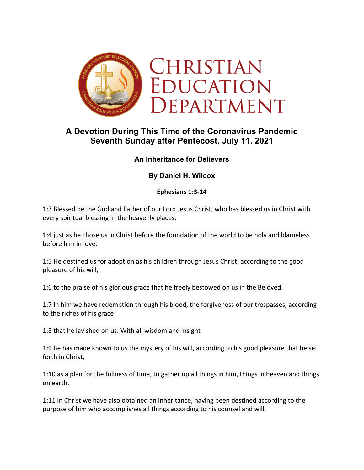

# **A Devotion During This Time of the Coronavirus Pandemic Seventh Sunday after Pentecost, July 11, 2021**

# **An Inheritance for Believers**

# **By Daniel H. Wilcox**

## **Ephesians 1:3-14**

1:3 Blessed be the God and Father of our Lord Jesus Christ, who has blessed us in Christ with every spiritual blessing in the heavenly places,

1:4 just as he chose us in Christ before the foundation of the world to be holy and blameless before him in love.

1:5 He destined us for adoption as his children through Jesus Christ, according to the good pleasure of his will,

1:6 to the praise of his glorious grace that he freely bestowed on us in the Beloved.

1:7 In him we have redemption through his blood, the forgiveness of our trespasses, according to the riches of his grace

1:8 that he lavished on us. With all wisdom and insight

1:9 he has made known to us the mystery of his will, according to his good pleasure that he set forth in Christ,

1:10 as a plan for the fullness of time, to gather up all things in him, things in heaven and things on earth.

1:11 In Christ we have also obtained an inheritance, having been destined according to the purpose of him who accomplishes all things according to his counsel and will,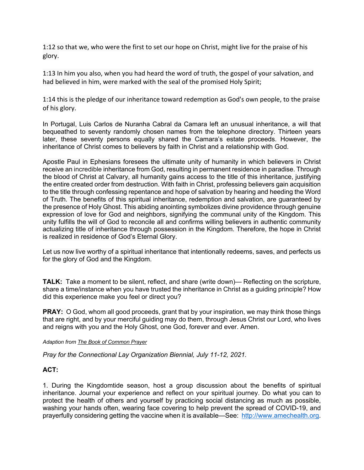1:12 so that we, who were the first to set our hope on Christ, might live for the praise of his glory.

1:13 In him you also, when you had heard the word of truth, the gospel of your salvation, and had believed in him, were marked with the seal of the promised Holy Spirit;

1:14 this is the pledge of our inheritance toward redemption as God's own people, to the praise of his glory.

In Portugal, Luis Carlos de Nuranha Cabral da Camara left an unusual inheritance, a will that bequeathed to seventy randomly chosen names from the telephone directory. Thirteen years later, these seventy persons equally shared the Camara's estate proceeds. However, the inheritance of Christ comes to believers by faith in Christ and a relationship with God.

Apostle Paul in Ephesians foresees the ultimate unity of humanity in which believers in Christ receive an incredible inheritance from God, resulting in permanent residence in paradise. Through the blood of Christ at Calvary, all humanity gains access to the title of this inheritance, justifying the entire created order from destruction. With faith in Christ, professing believers gain acquisition to the title through confessing repentance and hope of salvation by hearing and heeding the Word of Truth. The benefits of this spiritual inheritance, redemption and salvation, are guaranteed by the presence of Holy Ghost. This abiding anointing symbolizes divine providence through genuine expression of love for God and neighbors, signifying the communal unity of the Kingdom. This unity fulfills the will of God to reconcile all and confirms willing believers in authentic community actualizing title of inheritance through possession in the Kingdom. Therefore, the hope in Christ is realized in residence of God's Eternal Glory.

Let us now live worthy of a spiritual inheritance that intentionally redeems, saves, and perfects us for the glory of God and the Kingdom.

**TALK:** Take a moment to be silent, reflect, and share (write down)— Reflecting on the scripture, share a time/instance when you have trusted the inheritance in Christ as a guiding principle? How did this experience make you feel or direct you?

**PRAY:** O God, whom all good proceeds, grant that by your inspiration, we may think those things that are right, and by your merciful guiding may do them, through Jesus Christ our Lord, who lives and reigns with you and the Holy Ghost, one God, forever and ever. Amen.

*Adaption from The Book of Common Prayer*

*Pray for the Connectional Lay Organization Biennial, July 11-12, 2021.*

## **ACT:**

1. During the Kingdomtide season, host a group discussion about the benefits of spiritual inheritance. Journal your experience and reflect on your spiritual journey. Do what you can to protect the health of others and yourself by practicing social distancing as much as possible, washing your hands often, wearing face covering to help prevent the spread of COVID-19, and prayerfully considering getting the vaccine when it is available—See: http://www.amechealth.org.